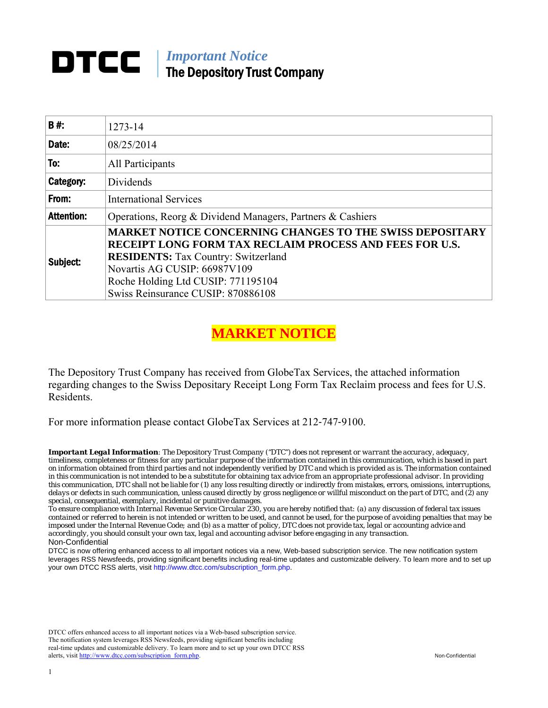# *Important Notice*  The Depository Trust Company

| B#:               | 1273-14                                                                                                                                                                                                                                                                                     |
|-------------------|---------------------------------------------------------------------------------------------------------------------------------------------------------------------------------------------------------------------------------------------------------------------------------------------|
| Date:             | 08/25/2014                                                                                                                                                                                                                                                                                  |
| To:               | All Participants                                                                                                                                                                                                                                                                            |
| Category:         | Dividends                                                                                                                                                                                                                                                                                   |
| From:             | <b>International Services</b>                                                                                                                                                                                                                                                               |
| <b>Attention:</b> | Operations, Reorg & Dividend Managers, Partners & Cashiers                                                                                                                                                                                                                                  |
| Subject:          | <b>MARKET NOTICE CONCERNING CHANGES TO THE SWISS DEPOSITARY</b><br><b>RECEIPT LONG FORM TAX RECLAIM PROCESS AND FEES FOR U.S.</b><br><b>RESIDENTS:</b> Tax Country: Switzerland<br>Novartis AG CUSIP: 66987V109<br>Roche Holding Ltd CUSIP: 771195104<br>Swiss Reinsurance CUSIP: 870886108 |

## **MARKET NOTICE**

The Depository Trust Company has received from GlobeTax Services, the attached information regarding changes to the Swiss Depositary Receipt Long Form Tax Reclaim process and fees for U.S. Residents.

For more information please contact GlobeTax Services at 212‐747‐9100.

*Important Legal Information: The Depository Trust Company ("DTC") does not represent or warrant the accuracy, adequacy, timeliness, completeness or fitness for any particular purpose of the information contained in this communication, which is based in part on information obtained from third parties and not independently verified by DTC and which is provided as is. The information contained in this communication is not intended to be a substitute for obtaining tax advice from an appropriate professional advisor. In providing this communication, DTC shall not be liable for (1) any loss resulting directly or indirectly from mistakes, errors, omissions, interruptions, delays or defects in such communication, unless caused directly by gross negligence or willful misconduct on the part of DTC, and (2) any special, consequential, exemplary, incidental or punitive damages.* 

*To ensure compliance with Internal Revenue Service Circular 230, you are hereby notified that: (a) any discussion of federal tax issues contained or referred to herein is not intended or written to be used, and cannot be used, for the purpose of avoiding penalties that may be imposed under the Internal Revenue Code; and (b) as a matter of policy, DTC does not provide tax, legal or accounting advice and accordingly, you should consult your own tax, legal and accounting advisor before engaging in any transaction.* Non-Confidential

DTCC is now offering enhanced access to all important notices via a new, Web-based subscription service. The new notification system leverages RSS Newsfeeds, providing significant benefits including real-time updates and customizable delivery. To learn more and to set up your own DTCC RSS alerts, visit http://www.dtcc.com/subscription\_form.php.

DTCC offers enhanced access to all important notices via a Web-based subscription service. The notification system leverages RSS Newsfeeds, providing significant benefits including real-time updates and customizable delivery. To learn more and to set up your own DTCC RSS alerts, visit http://www.dtcc.com/subscription\_form.php. Non-Confidential